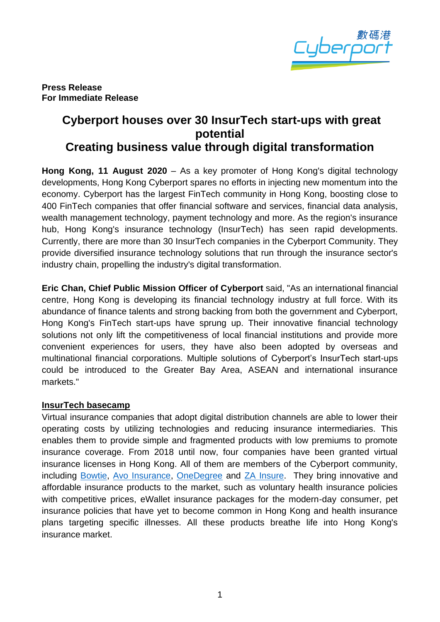

**Press Release For Immediate Release**

# **Cyberport houses over 30 InsurTech start-ups with great potential Creating business value through digital transformation**

**Hong Kong, 11 August 2020** – As a key promoter of Hong Kong's digital technology developments, Hong Kong Cyberport spares no efforts in injecting new momentum into the economy. Cyberport has the largest FinTech community in Hong Kong, boosting close to 400 FinTech companies that offer financial software and services, financial data analysis, wealth management technology, payment technology and more. As the region's insurance hub, Hong Kong's insurance technology (InsurTech) has seen rapid developments. Currently, there are more than 30 InsurTech companies in the Cyberport Community. They provide diversified insurance technology solutions that run through the insurance sector's industry chain, propelling the industry's digital transformation.

**Eric Chan, Chief Public Mission Officer of Cyberport** said, "As an international financial centre, Hong Kong is developing its financial technology industry at full force. With its abundance of finance talents and strong backing from both the government and Cyberport, Hong Kong's FinTech start-ups have sprung up. Their innovative financial technology solutions not only lift the competitiveness of local financial institutions and provide more convenient experiences for users, they have also been adopted by overseas and multinational financial corporations. Multiple solutions of Cyberport's InsurTech start-ups could be introduced to the Greater Bay Area, ASEAN and international insurance markets."

### **InsurTech basecamp**

Virtual insurance companies that adopt digital distribution channels are able to lower their operating costs by utilizing technologies and reducing insurance intermediaries. This enables them to provide simple and fragmented products with low premiums to promote insurance coverage. From 2018 until now, four companies have been granted virtual insurance licenses in Hong Kong. All of them are members of the Cyberport community, including [Bowtie,](https://www.bowtie.com.hk/en) [Avo Insurance,](https://www.heyavo.com/) [OneDegree](https://www.onedegree.hk/en-us) and [ZA Insure.](https://insure.za.group/) They bring innovative and affordable insurance products to the market, such as voluntary health insurance policies with competitive prices, eWallet insurance packages for the modern-day consumer, pet insurance policies that have yet to become common in Hong Kong and health insurance plans targeting specific illnesses. All these products breathe life into Hong Kong's insurance market.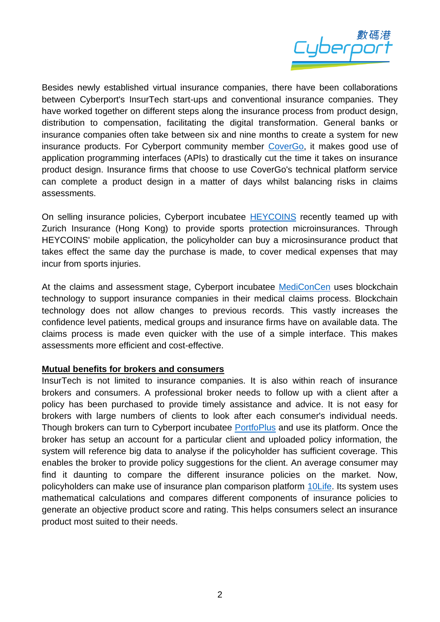

Besides newly established virtual insurance companies, there have been collaborations between Cyberport's InsurTech start-ups and conventional insurance companies. They have worked together on different steps along the insurance process from product design, distribution to compensation, facilitating the digital transformation. General banks or insurance companies often take between six and nine months to create a system for new insurance products. For Cyberport community member [CoverGo,](https://www.covergo.com/) it makes good use of application programming interfaces (APIs) to drastically cut the time it takes on insurance product design. Insurance firms that choose to use CoverGo's technical platform service can complete a product design in a matter of days whilst balancing risks in claims assessments.

On selling insurance policies, Cyberport incubatee [HEYCOINS](https://www.heycoins.com/en/) recently teamed up with Zurich Insurance (Hong Kong) to provide sports protection microinsurances. Through HEYCOINS' mobile application, the policyholder can buy a microsinsurance product that takes effect the same day the purchase is made, to cover medical expenses that may incur from sports injuries.

At the claims and assessment stage, Cyberport incubatee [MediConCen](https://www.mediconcen.com/) uses blockchain technology to support insurance companies in their medical claims process. Blockchain technology does not allow changes to previous records. This vastly increases the confidence level patients, medical groups and insurance firms have on available data. The claims process is made even quicker with the use of a simple interface. This makes assessments more efficient and cost-effective.

### **Mutual benefits for brokers and consumers**

InsurTech is not limited to insurance companies. It is also within reach of insurance brokers and consumers. A professional broker needs to follow up with a client after a policy has been purchased to provide timely assistance and advice. It is not easy for brokers with large numbers of clients to look after each consumer's individual needs. Though brokers can turn to Cyberport incubatee [PortfoPlus](https://www.portfoplus.com/) and use its platform. Once the broker has setup an account for a particular client and uploaded policy information, the system will reference big data to analyse if the policyholder has sufficient coverage. This enables the broker to provide policy suggestions for the client. An average consumer may find it daunting to compare the different insurance policies on the market. Now, policyholders can make use of insurance plan comparison platform [10Life.](https://www.10life.com/?locale=en) Its system uses mathematical calculations and compares different components of insurance policies to generate an objective product score and rating. This helps consumers select an insurance product most suited to their needs.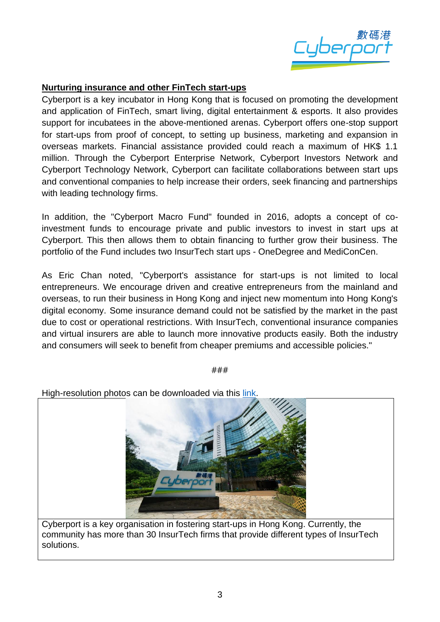

## **Nurturing insurance and other FinTech start-ups**

Cyberport is a key incubator in Hong Kong that is focused on promoting the development and application of FinTech, smart living, digital entertainment & esports. It also provides support for incubatees in the above-mentioned arenas. Cyberport offers one-stop support for start-ups from proof of concept, to setting up business, marketing and expansion in overseas markets. Financial assistance provided could reach a maximum of HK\$ 1.1 million. Through the Cyberport Enterprise Network, Cyberport Investors Network and Cyberport Technology Network, Cyberport can facilitate collaborations between start ups and conventional companies to help increase their orders, seek financing and partnerships with leading technology firms.

In addition, the "Cyberport Macro Fund" founded in 2016, adopts a concept of coinvestment funds to encourage private and public investors to invest in start ups at Cyberport. This then allows them to obtain financing to further grow their business. The portfolio of the Fund includes two InsurTech start ups - OneDegree and MediConCen.

As Eric Chan noted, "Cyberport's assistance for start-ups is not limited to local entrepreneurs. We encourage driven and creative entrepreneurs from the mainland and overseas, to run their business in Hong Kong and inject new momentum into Hong Kong's digital economy. Some insurance demand could not be satisfied by the market in the past due to cost or operational restrictions. With InsurTech, conventional insurance companies and virtual insurers are able to launch more innovative products easily. Both the industry and consumers will seek to benefit from cheaper premiums and accessible policies."

###

High-resolution photos can be downloaded via this [link.](https://drive.google.com/drive/folders/14G4JyVL9JHxtffCpip16BsbpawSPe3E8)



Cyberport is a key organisation in fostering start-ups in Hong Kong. Currently, the community has more than 30 InsurTech firms that provide different types of InsurTech solutions.